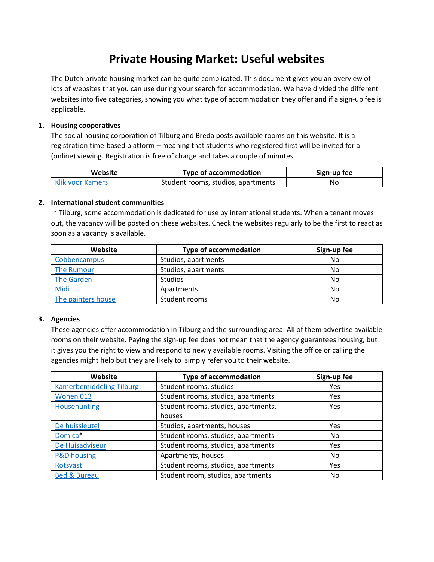# **Private Housing Market: Useful websites**

The Dutch private housing market can be quite complicated. This document gives you an overview of lots of websites that you can use during your search for accommodation. We have divided the different websites into five categories, showing you what type of accommodation they offer and if a sign-up fee is applicable.

## **1. Housing cooperatives**

The social housing corporation of Tilburg and Breda posts available rooms on this website. It is a registration time-based platform – meaning that students who registered first will be invited for a (online) viewing. Registration is free of charge and takes a couple of minutes.

| Website                 | <b>Type of accommodation</b>       | Sign-up fee |
|-------------------------|------------------------------------|-------------|
| <b>Klik voor Kamers</b> | Student rooms, studios, apartments | No          |

### **2. International student communities**

In Tilburg, some accommodation is dedicated for use by international students. When a tenant moves out, the vacancy will be posted on these websites. Check the websites regularly to be the first to react as soon as a vacancy is available.

| Website            | <b>Type of accommodation</b> | Sign-up fee |
|--------------------|------------------------------|-------------|
| Cobbencampus       | Studios, apartments          | No          |
| The Rumour         | Studios, apartments          | No          |
| The Garden         | <b>Studios</b>               | No          |
| Midi               | Apartments                   | No          |
| The painters house | Student rooms                | No          |

### **3. Agencies**

These agencies offer accommodation in Tilburg and the surrounding area. All of them advertise available rooms on their website. Paying the sign-up fee does not mean that the agency guarantees housing, but it gives you the right to view and respond to newly available rooms. Visiting the office or calling the agencies might help but they are likely to simply refer you to their website.

| Website                         | <b>Type of accommodation</b>             | Sign-up fee |
|---------------------------------|------------------------------------------|-------------|
| <b>Kamerbemiddeling Tilburg</b> | Student rooms, studios                   | Yes         |
| Wonen 013                       | Student rooms, studios, apartments       | <b>Yes</b>  |
| Househunting                    | Student rooms, studios, apartments,      | Yes         |
|                                 | houses                                   |             |
| De huissleutel                  | Studios, apartments, houses              | <b>Yes</b>  |
| Domica <sup>*</sup>             | Student rooms, studios, apartments       | No.         |
| De Huisadviseur                 | Student rooms, studios, apartments       | Yes         |
| <b>P&amp;D housing</b>          | Apartments, houses                       | No.         |
| Rotsvast                        | Student rooms, studios, apartments       | <b>Yes</b>  |
| <b>Bed &amp; Bureau</b>         | Student room, studios, apartments<br>No. |             |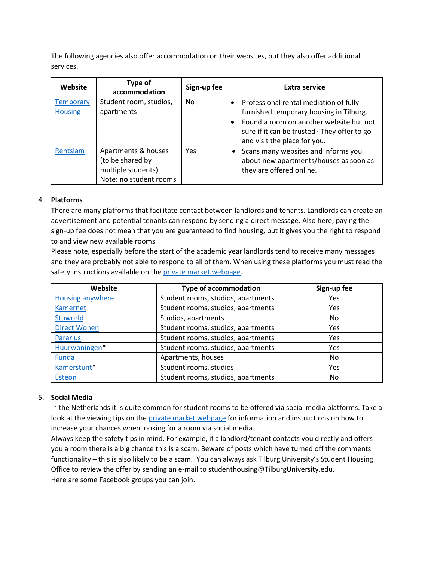The following agencies also offer accommodation on their websites, but they also offer additional services.

| Website                            | Type of<br>accommodation                                                                | Sign-up fee | <b>Extra service</b>                                                                                                                                                                                        |
|------------------------------------|-----------------------------------------------------------------------------------------|-------------|-------------------------------------------------------------------------------------------------------------------------------------------------------------------------------------------------------------|
| <b>Temporary</b><br><b>Housing</b> | Student room, studios,<br>apartments                                                    | No.         | Professional rental mediation of fully<br>furnished temporary housing in Tilburg.<br>Found a room on another website but not<br>sure if it can be trusted? They offer to go<br>and visit the place for you. |
| Rentslam                           | Apartments & houses<br>(to be shared by<br>multiple students)<br>Note: no student rooms | Yes         | Scans many websites and informs you<br>about new apartments/houses as soon as<br>they are offered online.                                                                                                   |

### 4. **Platforms**

There are many platforms that facilitate contact between landlords and tenants. Landlords can create an advertisement and potential tenants can respond by sending a direct message. Also here, paying the sign-up fee does not mean that you are guaranteed to find housing, but it gives you the right to respond to and view new available rooms.

Please note, especially before the start of the academic year landlords tend to receive many messages and they are probably not able to respond to all of them. When using these platforms you must read the safety instructions available on the [private market webpage.](https://www.tilburguniversity.edu/education/welcome-new-student/accommodation/private-market)

| Website             | <b>Type of accommodation</b>       | Sign-up fee |
|---------------------|------------------------------------|-------------|
| Housing anywhere    | Student rooms, studios, apartments | Yes         |
| Kamernet            | Student rooms, studios, apartments | Yes         |
| <b>Stuworld</b>     | Studios, apartments                | No          |
| <b>Direct Wonen</b> | Student rooms, studios, apartments | <b>Yes</b>  |
| <b>Pararius</b>     | Student rooms, studios, apartments | <b>Yes</b>  |
| Huurwoningen*       | Student rooms, studios, apartments | Yes         |
| Funda               | Apartments, houses                 | No          |
| Kamerstunt*         | Student rooms, studios             | <b>Yes</b>  |
| Esteon              | Student rooms, studios, apartments | No          |

### 5. **Social Media**

In the Netherlands it is quite common for student rooms to be offered via social media platforms. Take a look at the viewing tips on th[e private market webpage](https://www.tilburguniversity.edu/education/welcome-new-student/accommodation/private-market) for information and instructions on how to increase your chances when looking for a room via social media.

Always keep the safety tips in mind. For example, if a landlord/tenant contacts you directly and offers you a room there is a big chance this is a scam. Beware of posts which have turned off the comments functionality – this is also likely to be a scam. You can always ask Tilburg University's Student Housing Office to review the offer by sending an e-mail to studenthousing@TilburgUniversity.edu. Here are some Facebook groups you can join.